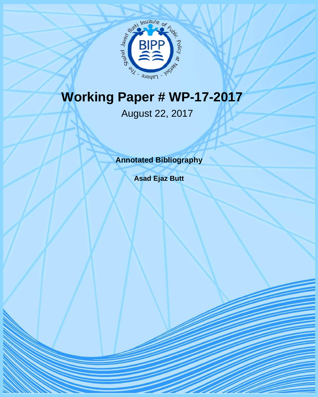

# **Working Paper # WP-17-2017**

# August 22, 2017

**Annotated Bibliography** 

**Asad Ejaz Butt**

**BIPP WORKING PAPER**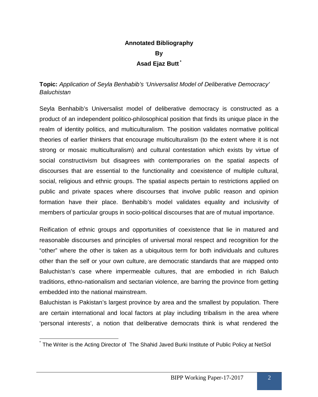# **Annotated Bibliography By Asad Ejaz Butt \***

#### **Topic:** *Application of Seyla Benhabib's 'Universalist Model of Deliberative Democracy' Baluchistan*

Seyla Benhabib's Universalist model of deliberative democracy is constructed as a product of an independent politico-philosophical position that finds its unique place in the realm of identity politics, and multiculturalism. The position validates normative political theories of earlier thinkers that encourage multiculturalism (to the extent where it is not strong or mosaic multiculturalism) and cultural contestation which exists by virtue of social constructivism but disagrees with contemporaries on the spatial aspects of discourses that are essential to the functionality and coexistence of multiple cultural, social, religious and ethnic groups. The spatial aspects pertain to restrictions applied on public and private spaces where discourses that involve public reason and opinion formation have their place. Benhabib's model validates equality and inclusivity of members of particular groups in socio-political discourses that are of mutual importance.

Reification of ethnic groups and opportunities of coexistence that lie in matured and reasonable discourses and principles of universal moral respect and recognition for the "other" where the other is taken as a ubiquitous term for both individuals and cultures other than the self or your own culture, are democratic standards that are mapped onto Baluchistan's case where impermeable cultures, that are embodied in rich Baluch traditions, ethno-nationalism and sectarian violence, are barring the province from getting embedded into the national mainstream.

Baluchistan is Pakistan's largest province by area and the smallest by population. There are certain international and local factors at play including tribalism in the area where 'personal interests', a notion that deliberative democrats think is what rendered the

 $\overline{a}$ \* The Writer is the Acting Director of The Shahid Javed Burki Institute of Public Policy at NetSol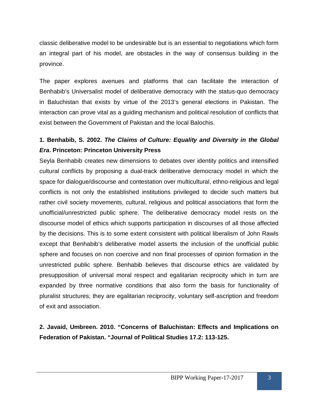classic deliberative model to be undesirable but is an essential to negotiations which form an integral part of his model, are obstacles in the way of consensus building in the province.

The paper explores avenues and platforms that can facilitate the interaction of Benhabib's Universalist model of deliberative democracy with the status-quo democracy in Baluchistan that exists by virtue of the 2013's general elections in Pakistan. The interaction can prove vital as a guiding mechanism and political resolution of conflicts that exist between the Government of Pakistan and the local Balochis.

#### **1. Benhabib, S. 2002.** *The Claims of Culture: Equality and Diversity in the Global Era***. Princeton: Princeton University Press**

Seyla Benhabib creates new dimensions to debates over identity politics and intensified cultural conflicts by proposing a dual-track deliberative democracy model in which the space for dialogue/discourse and contestation over multicultural, ethno-religious and legal conflicts is not only the established institutions privileged to decide such matters but rather civil society movements, cultural, religious and political associations that form the unofficial/unrestricted public sphere. The deliberative democracy model rests on the discourse model of ethics which supports participation in discourses of all those affected by the decisions. This is to some extent consistent with political liberalism of John Rawls except that Benhabib's deliberative model asserts the inclusion of the unofficial public sphere and focuses on non coercive and non final processes of opinion formation in the unrestricted public sphere. Benhabib believes that discourse ethics are validated by presupposition of universal moral respect and egalitarian reciprocity which in turn are expanded by three normative conditions that also form the basis for functionality of pluralist structures; they are egalitarian reciprocity, voluntary self-ascription and freedom of exit and association.

#### **2. Javaid, Umbreen. 2010. "Concerns of Baluchistan: Effects and Implications on Federation of Pakistan. "Journal of Political Studies 17.2: 113-125.**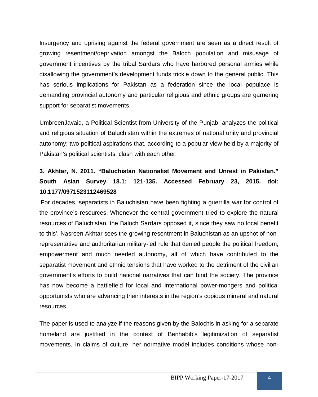Insurgency and uprising against the federal government are seen as a direct result of growing resentment/deprivation amongst the Baloch population and misusage of government incentives by the tribal Sardars who have harbored personal armies while disallowing the government's development funds trickle down to the general public. This has serious implications for Pakistan as a federation since the local populace is demanding provincial autonomy and particular religious and ethnic groups are garnering support for separatist movements.

UmbreenJavaid, a Political Scientist from University of the Punjab, analyzes the political and religious situation of Baluchistan within the extremes of national unity and provincial autonomy; two political aspirations that, according to a popular view held by a majority of Pakistan's political scientists, clash with each other.

# **3. Akhtar, N. 2011. "Baluchistan Nationalist Movement and Unrest in Pakistan." South Asian Survey 18.1: 121-135. Accessed February 23, 2015. doi: 10.1177/0971523112469528**

'For decades, separatists in Baluchistan have been fighting a guerrilla war for control of the province's resources. Whenever the central government tried to explore the natural resources of Baluchistan, the Baloch Sardars opposed it, since they saw no local benefit to this'. Nasreen Akhtar sees the growing resentment in Baluchistan as an upshot of nonrepresentative and authoritarian military-led rule that denied people the political freedom, empowerment and much needed autonomy, all of which have contributed to the separatist movement and ethnic tensions that have worked to the detriment of the civilian government's efforts to build national narratives that can bind the society. The province has now become a battlefield for local and international power-mongers and political opportunists who are advancing their interests in the region's copious mineral and natural resources.

The paper is used to analyze if the reasons given by the Balochis in asking for a separate homeland are justified in the context of Benhabib's legitimization of separatist movements. In claims of culture, her normative model includes conditions whose non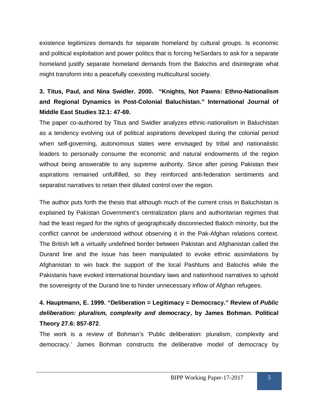existence legitimizes demands for separate homeland by cultural groups. Is economic and political exploitation and power politics that is forcing heSardars to ask for a separate homeland justify separate homeland demands from the Balochis and disintegrate what might transform into a peacefully coexisting multicultural society.

# **3. Titus, Paul, and Nina Swidler. 2000. "Knights, Not Pawns: Ethno-Nationalism and Regional Dynamics in Post-Colonial Baluchistan." International Journal of Middle East Studies 32.1: 47-69.**

The paper co-authored by Titus and Swidler analyzes ethnic-nationalism in Baluchistan as a tendency evolving out of political aspirations developed during the colonial period when self-governing, autonomous states were envisaged by tribal and nationalistic leaders to personally consume the economic and natural endowments of the region without being answerable to any supreme authority. Since after joining Pakistan their aspirations remained unfulfilled, so they reinforced anti-federation sentiments and separatist narratives to retain their diluted control over the region.

The author puts forth the thesis that although much of the current crisis in Baluchistan is explained by Pakistan Government's centralization plans and authoritarian regimes that had the least regard for the rights of geographically disconnected Baloch minority, but the conflict cannot be understood without observing it in the Pak-Afghan relations context. The British left a virtually undefined border between Pakistan and Afghanistan called the Durand line and the issue has been manipulated to evoke ethnic assimilations by Afghanistan to win back the support of the local Pashtuns and Balochis while the Pakistanis have evoked international boundary laws and nationhood narratives to uphold the sovereignty of the Durand line to hinder unnecessary inflow of Afghan refugees.

# **4. Hauptmann, E. 1999. "Deliberation = Legitimacy = Democracy." Review of** *Public deliberation: pluralism, complexity and democracy***, by James Bohman. Political Theory 27.6: 857-872**.

The work is a review of Bohman's 'Public deliberation: pluralism, complexity and democracy.' James Bohman constructs the deliberative model of democracy by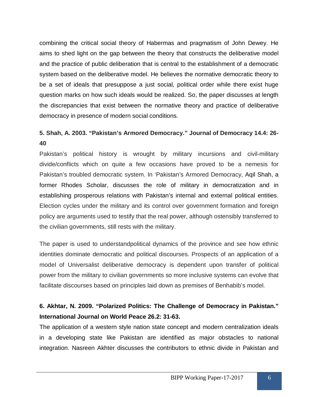combining the critical social theory of Habermas and pragmatism of John Dewey. He aims to shed light on the gap between the theory that constructs the deliberative model and the practice of public deliberation that is central to the establishment of a democratic system based on the deliberative model. He believes the normative democratic theory to be a set of ideals that presuppose a just social, political order while there exist huge question marks on how such ideals would be realized. So, the paper discusses at length the discrepancies that exist between the normative theory and practice of deliberative democracy in presence of modern social conditions.

#### **5. Shah, A. 2003. "Pakistan's Armored Democracy." Journal of Democracy 14.4: 26- 40**

Pakistan's political history is wrought by military incursions and civil-military divide/conflicts which on quite a few occasions have proved to be a nemesis for Pakistan's troubled democratic system. In 'Pakistan's Armored Democracy, Aqil Shah, a former Rhodes Scholar, discusses the role of military in democratization and in establishing prosperous relations with Pakistan's internal and external political entities. Election cycles under the military and its control over government formation and foreign policy are arguments used to testify that the real power, although ostensibly transferred to the civilian governments, still rests with the military.

The paper is used to understandpolitical dynamics of the province and see how ethnic identities dominate democratic and political discourses. Prospects of an application of a model of Universalist deliberative democracy is dependent upon transfer of political power from the military to civilian governments so more inclusive systems can evolve that facilitate discourses based on principles laid down as premises of Benhabib's model.

#### **6. Akhtar, N. 2009. "Polarized Politics: The Challenge of Democracy in Pakistan." International Journal on World Peace 26.2: 31-63.**

The application of a western style nation state concept and modern centralization ideals in a developing state like Pakistan are identified as major obstacles to national integration. Nasreen Akhter discusses the contributors to ethnic divide in Pakistan and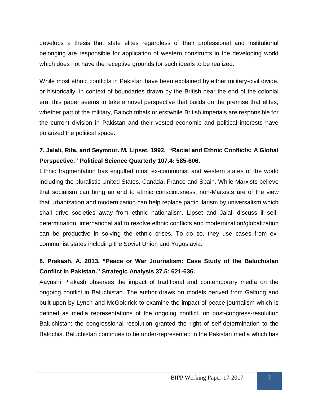develops a thesis that state elites regardless of their professional and institutional belonging are responsible for application of western constructs in the developing world which does not have the receptive grounds for such ideals to be realized.

While most ethnic conflicts in Pakistan have been explained by either military-civil divide, or historically, in context of boundaries drawn by the British near the end of the colonial era, this paper seems to take a novel perspective that builds on the premise that elites, whether part of the military, Baloch tribals or erstwhile British imperials are responsible for the current division in Pakistan and their vested economic and political interests have polarized the political space.

### **7. Jalali, Rita, and Seymour. M. Lipset. 1992. "Racial and Ethnic Conflicts: A Global Perspective." Political Science Quarterly 107.4: 585-606.**

Ethnic fragmentation has engulfed most ex-communist and western states of the world including the pluralistic United States, Canada, France and Spain. While Marxists believe that socialism can bring an end to ethnic consciousness, non-Marxists are of the view that urbanization and modernization can help replace particularism by universalism which shall drive societies away from ethnic nationalism. Lipset and Jalali discuss if selfdetermination, international aid to resolve ethnic conflicts and modernization/globalization can be productive in solving the ethnic crises. To do so, they use cases from excommunist states including the Soviet Union and Yugoslavia.

#### **8. Prakash, A. 2013. "Peace or War Journalism: Case Study of the Baluchistan Conflict in Pakistan." Strategic Analysis 37.5: 621-636.**

Aayushi Prakash observes the impact of traditional and contemporary media on the ongoing conflict in Baluchistan. The author draws on models derived from Galtung and built upon by Lynch and McGoldrick to examine the impact of peace journalism which is defined as media representations of the ongoing conflict, on post-congress-resolution Baluchistan; the congressional resolution granted the right of self-determination to the Balochis. Baluchistan continues to be under-represented in the Pakistan media which has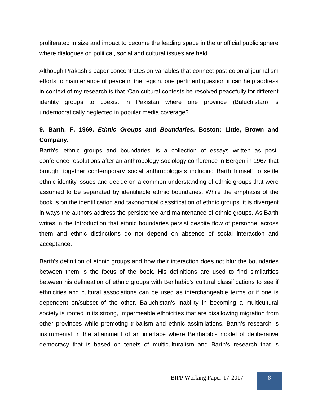proliferated in size and impact to become the leading space in the unofficial public sphere where dialogues on political, social and cultural issues are held.

Although Prakash's paper concentrates on variables that connect post-colonial journalism efforts to maintenance of peace in the region, one pertinent question it can help address in context of my research is that 'Can cultural contests be resolved peacefully for different identity groups to coexist in Pakistan where one province (Baluchistan) is undemocratically neglected in popular media coverage?

# **9. Barth, F. 1969.** *Ethnic Groups and Boundaries***. Boston: Little, Brown and Company.**

Barth's 'ethnic groups and boundaries' is a collection of essays written as postconference resolutions after an anthropology-sociology conference in Bergen in 1967 that brought together contemporary social anthropologists including Barth himself to settle ethnic identity issues and decide on a common understanding of ethnic groups that were assumed to be separated by identifiable ethnic boundaries. While the emphasis of the book is on the identification and taxonomical classification of ethnic groups, it is divergent in ways the authors address the persistence and maintenance of ethnic groups. As Barth writes in the Introduction that ethnic boundaries persist despite flow of personnel across them and ethnic distinctions do not depend on absence of social interaction and acceptance.

Barth's definition of ethnic groups and how their interaction does not blur the boundaries between them is the focus of the book. His definitions are used to find similarities between his delineation of ethnic groups with Benhabib's cultural classifications to see if ethnicities and cultural associations can be used as interchangeable terms or if one is dependent on/subset of the other. Baluchistan's inability in becoming a multicultural society is rooted in its strong, impermeable ethnicities that are disallowing migration from other provinces while promoting tribalism and ethnic assimilations. Barth's research is instrumental in the attainment of an interface where Benhabib's model of deliberative democracy that is based on tenets of multiculturalism and Barth's research that is